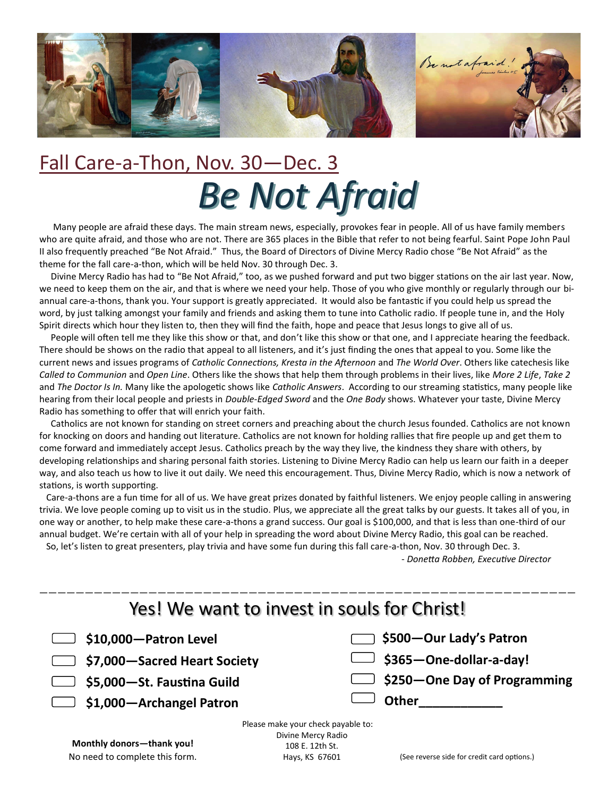

# Fall Care-a-Thon, Nov. 30—Dec. 3 *Be Not Afraid*

 Many people are afraid these days. The main stream news, especially, provokes fear in people. All of us have family members who are quite afraid, and those who are not. There are 365 places in the Bible that refer to not being fearful. Saint Pope John Paul II also frequently preached "Be Not Afraid." Thus, the Board of Directors of Divine Mercy Radio chose "Be Not Afraid" as the theme for the fall care-a-thon, which will be held Nov. 30 through Dec. 3.

 Divine Mercy Radio has had to "Be Not Afraid," too, as we pushed forward and put two bigger stations on the air last year. Now, we need to keep them on the air, and that is where we need your help. Those of you who give monthly or regularly through our biannual care-a-thons, thank you. Your support is greatly appreciated. It would also be fantastic if you could help us spread the word, by just talking amongst your family and friends and asking them to tune into Catholic radio. If people tune in, and the Holy Spirit directs which hour they listen to, then they will find the faith, hope and peace that Jesus longs to give all of us.

 People will often tell me they like this show or that, and don't like this show or that one, and I appreciate hearing the feedback. There should be shows on the radio that appeal to all listeners, and it's just finding the ones that appeal to you. Some like the current news and issues programs of *Catholic Connections, Kresta in the Afternoon* and *The World Over*. Others like catechesis like *Called to Communion* and *Open Line*. Others like the shows that help them through problems in their lives, like *More 2 Life*, *Take 2*  and *The Doctor Is In.* Many like the apologetic shows like *Catholic Answers*. According to our streaming statistics, many people like hearing from their local people and priests in *Double-Edged Sword* and the *One Body* shows. Whatever your taste, Divine Mercy Radio has something to offer that will enrich your faith.

 Catholics are not known for standing on street corners and preaching about the church Jesus founded. Catholics are not known for knocking on doors and handing out literature. Catholics are not known for holding rallies that fire people up and get them to come forward and immediately accept Jesus. Catholics preach by the way they live, the kindness they share with others, by developing relationships and sharing personal faith stories. Listening to Divine Mercy Radio can help us learn our faith in a deeper way, and also teach us how to live it out daily. We need this encouragement. Thus, Divine Mercy Radio, which is now a network of stations, is worth supporting.

 Care-a-thons are a fun time for all of us. We have great prizes donated by faithful listeners. We enjoy people calling in answering trivia. We love people coming up to visit us in the studio. Plus, we appreciate all the great talks by our guests. It takes all of you, in one way or another, to help make these care-a-thons a grand success. Our goal is \$100,000, and that is less than one-third of our annual budget. We're certain with all of your help in spreading the word about Divine Mercy Radio, this goal can be reached.

So, let's listen to great presenters, play trivia and have some fun during this fall care-a-thon, Nov. 30 through Dec. 3.

- *Donetta Robben, Executive Director*

| Yes! We want to invest in souls for Christ!                                                                              |                                                                                                             |  |  |
|--------------------------------------------------------------------------------------------------------------------------|-------------------------------------------------------------------------------------------------------------|--|--|
| \$10,000-Patron Level<br>\$7,000 - Sacred Heart Society<br>$\Box$ \$5,000-St. Faustina Guild<br>\$1,000-Archangel Patron | \$500-Our Lady's Patron<br>\$365-One-dollar-a-day!<br>$\Box$ \$250 – One Day of Programming<br><b>Other</b> |  |  |
| Please make your check payable to:                                                                                       |                                                                                                             |  |  |

**Monthly donors—thank you!** No need to complete this form. Divine Mercy Radio 108 E. 12th St. Hays, KS 67601